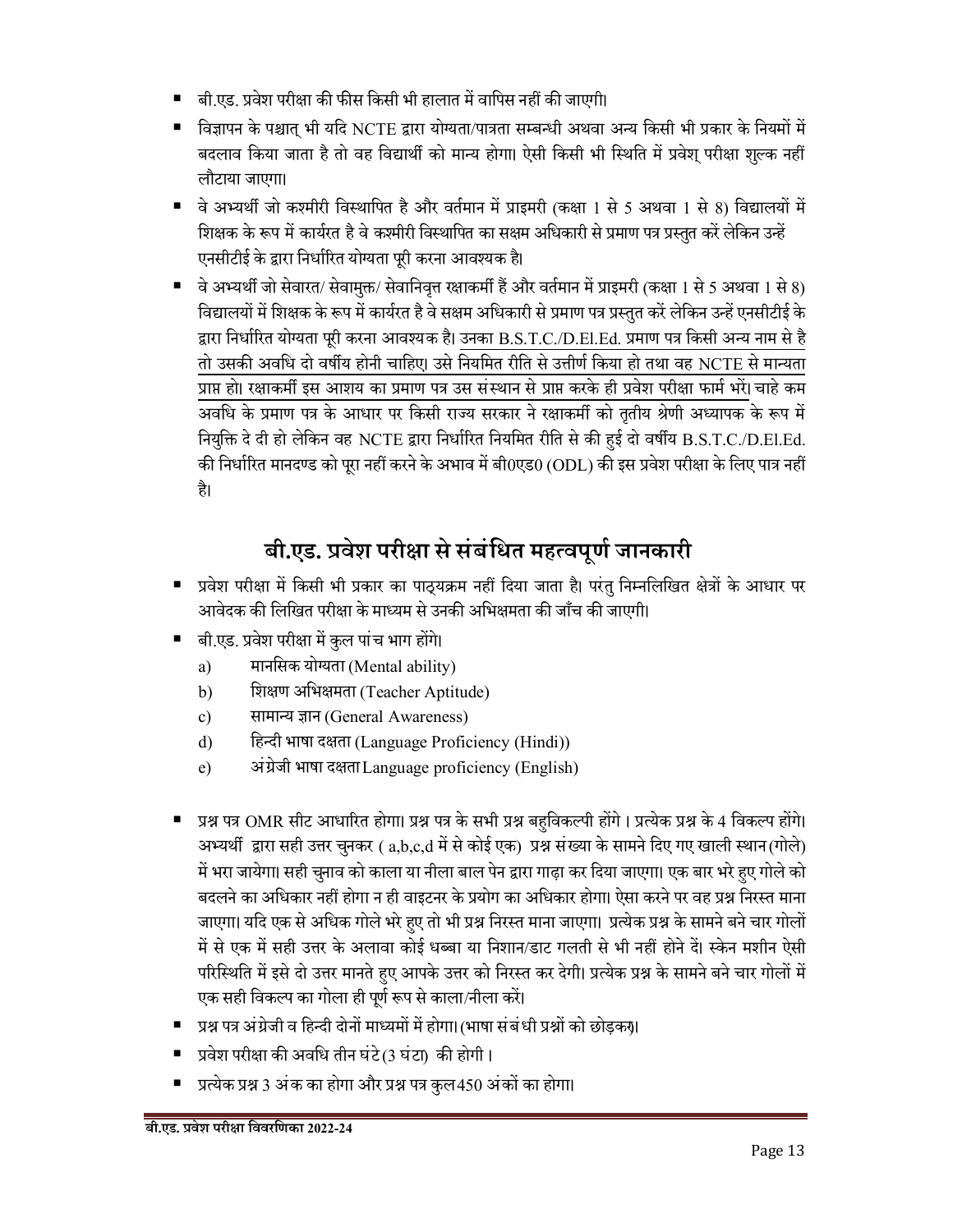- बी.एड. प्रवेश परीक्षा की फीस किसी भी हालात में वापिस नहीं की जाएगी।
- विज्ञापन के पश्चात् भी यदि NCTE द्वारा योग्यता/पात्रता सम्बन्धी अथवा अन्य किसी भी प्रकार के नियमों में बदलाव किया जाता है तो वह विद्यार्थी को मान्य होगा। ऐसी किसी भी स्थिति में प्रवेश् परीक्षा शुल्क नहीं लौटाया जाएगा।
- वे अभ्यर्थी जो कश्मीरी विस्थापित है और वर्तमान में प्राइमरी (कक्षा 1 से 5 अथवा 1 से 8) विद्यालयों में शिक्षक के रूप में कार्यरत है वे कश्मीरी विस्थापित का सक्षम अधिकारी से प्रमाण पत्र प्रस्तुत करें लेकिन उन्हें एनसीटीई के द्वारा निर्धारित योग्यता पूरी करना आवश्यक है।
- वे अभ्यर्थी जो सेवारत/ सेवामुक्त/ सेवानिवृत्त रक्षाकर्मी हैं और वर्तमान में प्राइमरी (कक्षा 1 से 5 अथवा 1 से 8) विद्यालयों में शिक्षक के रूप में कार्यरत है वे सक्षम अधिकारी से प्रमाण पत्र प्रस्तुत करें लेकिन उन्हें एनसीटीई के द्वारा निर्धारित योग्यता पूरी करना आवश्यक है। उनका B.S.T.C./D.El.Ed. प्रमाण पत्र किसी अन्य नाम से है तो उसकी अवधि दो वर्षीय होनी चाहिए। उसे नियमित रीति से उत्तीर्ण किया हो तथा वह NCTE से मान्यता प्राप्त हो। रक्षाकर्मी इस आशय का प्रमाण पत्र उस संस्थान से प्राप्त करके ही प्रवेश परीक्षा फार्म भरें। चाहे कम अविध के ÿमाण पý के आधार पर िकसी राºय सरकार ने र±ाकमê को तृतीय ®ेणी अÅयापक के łप म¤ नियुक्ति दे दी हो लेकिन वह NCTE द्वारा निर्धारित नियमित रीति से की हुई दो वर्षीय B.S.T.C./D.El.Ed. की निर्धारित मानदण्ड को पूरा नहीं करने के अभाव में बी0एड0 (ODL) की इस प्रवेश परीक्षा के लिए पात्र नहीं है।

# **बी.एड. ÿवेश परी±ा से संबंिधत महÂवपूणª जानकारी**

- प्रवेश परीक्षा में किसी भी प्रकार का पाठ्यक्रम नहीं दिया जाता है। परंतु निम्नलिखित क्षेत्रों के आधार पर आवेदक की लिखित परीक्षा के माध्यम से उनकी अभिक्षमता की जाँच की जाएगी।
- बी.एड. प्रवेश परीक्षा में कुल पांच भाग होंगे।
	- a) मानसिक योग्यता (Mental ability)
	- b) शिक्षण अभिक्षमता (Teacher Aptitude)
	- c) सामान्य ज्ञान (General Awareness)
	- d) हिन्दी भाषा दक्षता (Language Proficiency (Hindi))
	- e) अंग्रेजी भाषा दक्षता Language proficiency (English)
- प्रश्न पत्र OMR सीट आधारित होगा। प्रश्न पत्र के सभी प्रश्न बहुविकल्पी होंगे । प्रत्येक प्रश्न के 4 विकल्प होंगे। अभ्यर्थी द्वारा सही उत्तर चुनकर ( a,b,c,d में से कोई एक) प्रश्न संख्या के सामने दिए गए खाली स्थान (गोले) में भरा जायेगा। सही चुनाव को काला या नीला बाल पेन द्वारा गाढ़ा कर दिया जाएगा। एक बार भरे हुए गोले को बदलने का अधिकार नहीं होगा न ही वाइटनर के प्रयोग का अधिकार होगा। ऐसा करने पर वह प्रश्न निरस्त माना जाएगा। यदि एक से अधिक गोले भरे हुए तो भी प्रश्न निरस्त माना जाएगा। प्रत्येक प्रश्न के सामने बने चार गोलों में से एक में सही उत्तर के अलावा कोई धब्बा या निशान/डाट गलती से भी नहीं होने दें। स्केन मशीन ऐसी परिस्थिति में इसे दो उत्तर मानते हुए आपके उत्तर को निरस्त कर देगी। प्रत्येक प्रश्न के सामने बने चार गोलों में एक सही विकल्प का गोला ही पूर्ण रूप से काला/नीला करें।
- प्रश्न पत्र अंग्रेजी व हिन्दी दोनों माध्यमों में होगा। (भाषा संबंधी प्रश्नों को छोड़कर)।
- प्रवेश परीक्षा की अवधि तीन घंटे(3 घंटा) की होगी।
- प्रत्येक प्रश्न 3 अंक का होगा और प्रश्न पत्र कुल 450 अंकों का होगा।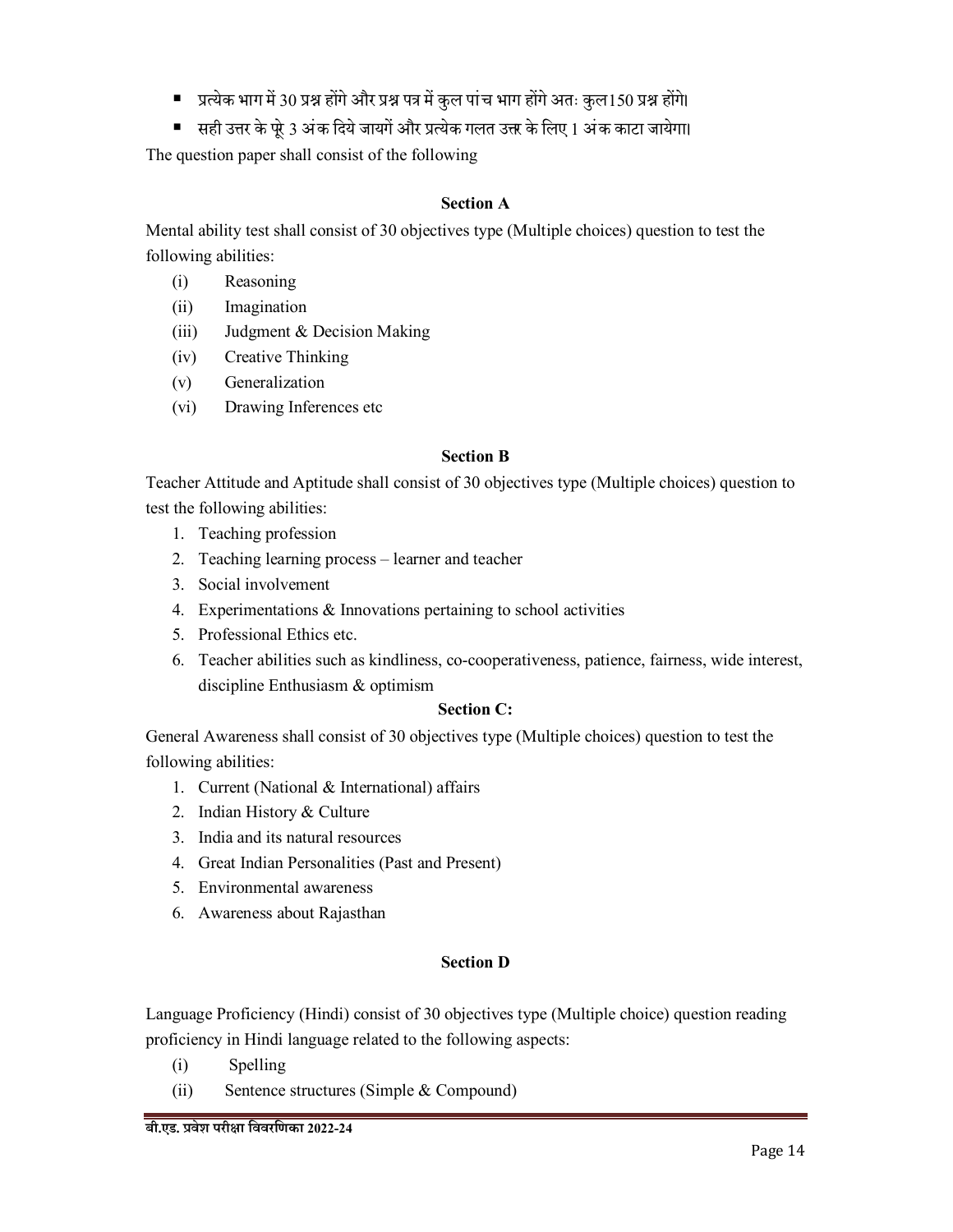- प्रत्येक भाग में 30 प्रश्न होंगे और प्रश्न पत्र में कुल पांच भाग होंगे अतः कुल 150 प्रश्न होंगे।
- सही उत्तर के पूरे 3 अंक दिये जायगें और प्रत्येक गलत उत्तर के लिए 1 अंक काटा जायेगा।

The question paper shall consist of the following

#### **Section A**

Mental ability test shall consist of 30 objectives type (Multiple choices) question to test the following abilities:

- (i) Reasoning
- (ii) Imagination
- (iii) Judgment & Decision Making
- (iv) Creative Thinking
- (v) Generalization
- (vi) Drawing Inferences etc

#### **Section B**

Teacher Attitude and Aptitude shall consist of 30 objectives type (Multiple choices) question to test the following abilities:

- 1. Teaching profession
- 2. Teaching learning process –learner and teacher
- 3. Social involvement
- 4. Experimentations & Innovations pertaining to school activities
- 5. Professional Ethics etc.
- 6. Teacher abilities such as kindliness, co-cooperativeness, patience, fairness, wide interest, discipline Enthusiasm & optimism

# **Section C:**

General Awareness shall consist of 30 objectives type (Multiple choices) question to test the following abilities:

- 1. Current (National & International) affairs
- 2. Indian History & Culture
- 3. India and its natural resources
- 4. Great Indian Personalities (Past and Present)
- 5. Environmental awareness
- 6. Awareness about Rajasthan

# **Section D**

Language Proficiency (Hindi) consist of 30 objectives type (Multiple choice) question reading proficiency in Hindi language related to the following aspects:

- (i) Spelling
- (ii) Sentence structures (Simple & Compound)